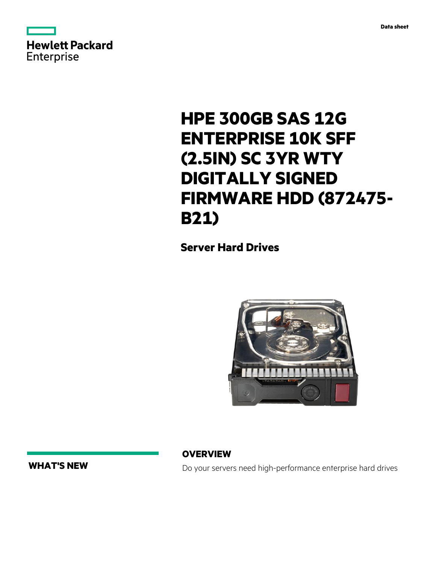



# **HPE 300GB SAS 12G ENTERPRISE 10K SFF (2.5IN) SC 3YR WTY DIGITALLY SIGNED FIRMWARE HDD (872475- B21)**

**Server Hard Drives**



**WHAT'S NEW**

**OVERVIEW**

Do your servers need high-performance enterprise hard drives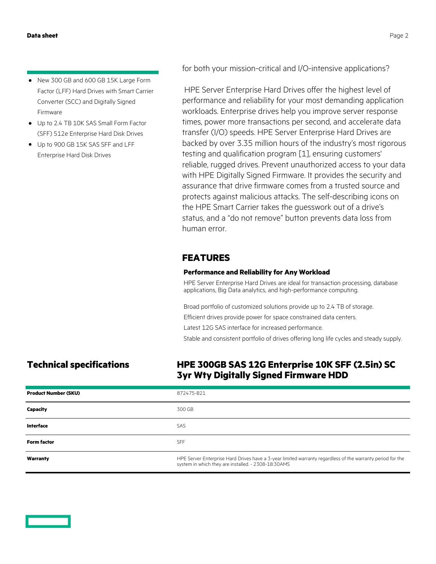- New 300 GB and 600 GB 15K Large Form Factor (LFF) Hard Drives with Smart Carrier Converter (SCC) and Digitally Signed Firmware **·**
- Up to 2.4 TB 10K SAS Small Form Factor **·** (SFF) 512e Enterprise Hard Disk Drives
- Up to 900 GB 15K SAS SFF and LFF **·** Enterprise Hard Disk Drives

for both your mission-critical and I/O-intensive applications?

 HPE Server Enterprise Hard Drives offer the highest level of performance and reliability for your most demanding application workloads. Enterprise drives help you improve server response times, power more transactions per second, and accelerate data transfer (I/O) speeds. HPE Server Enterprise Hard Drives are backed by over 3.35 million hours of the industry's most rigorous testing and qualification program [1], ensuring customers' reliable, rugged drives. Prevent unauthorized access to your data with HPE Digitally Signed Firmware. It provides the security and assurance that drive firmware comes from a trusted source and protects against malicious attacks. The self-describing icons on the HPE Smart Carrier takes the guesswork out of a drive's status, and a "do not remove" button prevents data loss from human error.

### **FEATURES**

#### **Performance and Reliability for Any Workload**

HPE Server Enterprise Hard Drives are ideal for transaction processing, database applications, Big Data analytics, and high-performance computing.

Broad portfolio of customized solutions provide up to 2.4 TB of storage.

Efficient drives provide power for space constrained data centers.

Latest 12G SAS interface for increased performance.

Stable and consistent portfolio of drives offering long life cycles and steady supply.

## **Technical specifications HPE 300GB SAS 12G Enterprise 10K SFF (2.5in) SC 3yr Wty Digitally Signed Firmware HDD**

| <b>Product Number (SKU)</b> | 872475-B21                                                                                                                                                        |
|-----------------------------|-------------------------------------------------------------------------------------------------------------------------------------------------------------------|
| Capacity                    | 300 GB                                                                                                                                                            |
| <b>Interface</b>            | <b>SAS</b>                                                                                                                                                        |
| <b>Form factor</b>          | <b>SFF</b>                                                                                                                                                        |
| Warranty                    | HPE Server Enterprise Hard Drives have a 3-year limited warranty regardless of the warranty period for the<br>system in which they are installed. - 2308-18:30AMS |